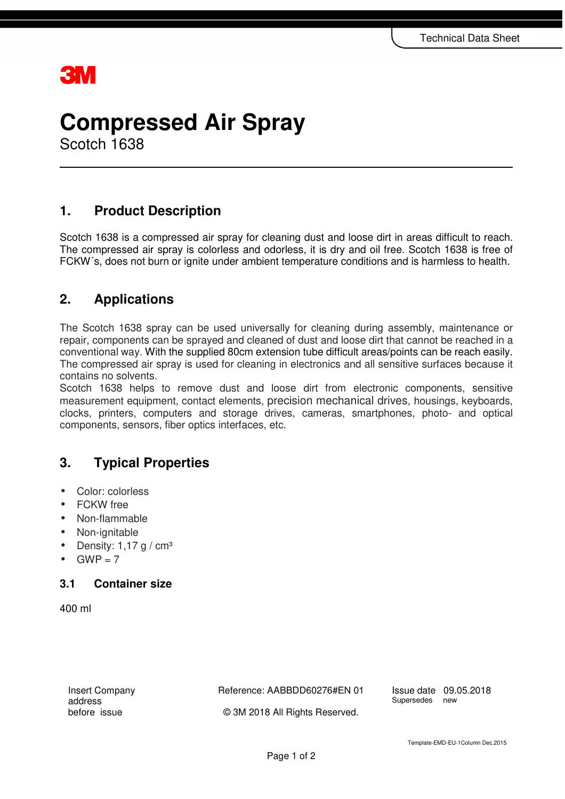## **31 V**

# **Compressed Air Spray**

Scotch 1638

## **1. Product Description**

Scotch 1638 is a compressed air spray for cleaning dust and loose dirt in areas difficult to reach. The compressed air spray is colorless and odorless, it is dry and oil free. Scotch 1638 is free of FCKW´s, does not burn or ignite under ambient temperature conditions and is harmless to health.

### **2. Applications**

The Scotch 1638 spray can be used universally for cleaning during assembly, maintenance or repair, components can be sprayed and cleaned of dust and loose dirt that cannot be reached in a conventional way. With the supplied 80cm extension tube difficult areas/points can be reach easily. The compressed air spray is used for cleaning in electronics and all sensitive surfaces because it contains no solvents.

Scotch 1638 helps to remove dust and loose dirt from electronic components, sensitive measurement equipment, contact elements, precision mechanical drives, housings, keyboards, clocks, printers, computers and storage drives, cameras, smartphones, photo- and optical components, sensors, fiber optics interfaces, etc.

## **3. Typical Properties**

- Color: colorless
- FCKW free
- Non-flammable
- Non-ignitable
- Density:  $1.17$  g / cm<sup>3</sup>
- $GWP = 7$

#### **3.1 Container size**

400 ml

Insert Company address before issue

Reference: AABBDD60276#EN 01

**Issue date** 09.05.2018<br>Supersedes new Supersedes

© 3M 2018 All Rights Reserved.